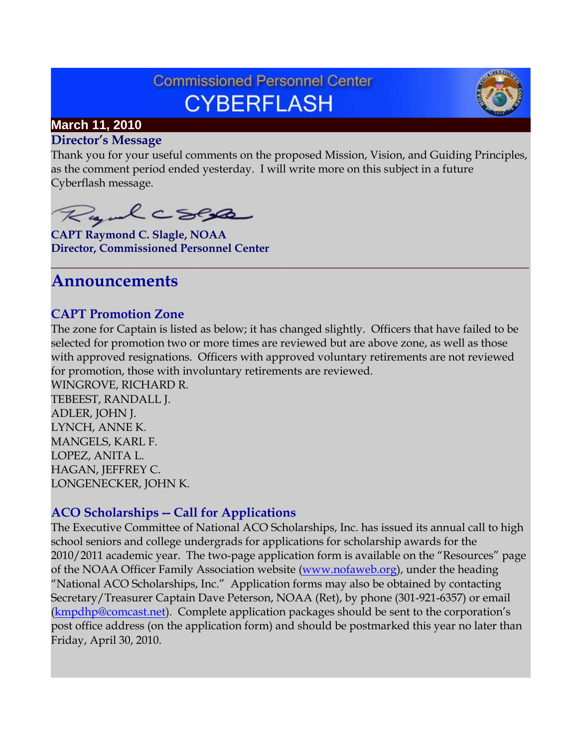# **Commissioned Personnel Center CYBERFLASH**



# **March 11, 2010**

#### **Director's Message**

Thank you for your useful comments on the proposed Mission, Vision, and Guiding Principles, as the comment period ended yesterday. I will write more on this subject in a future Cyberflash message.

**\_\_\_\_\_\_\_\_\_\_\_\_\_\_\_\_\_\_\_\_\_\_\_\_\_\_\_\_\_\_\_\_\_\_\_\_\_\_\_\_\_\_\_\_\_\_\_\_\_\_\_\_\_\_\_\_\_\_\_\_\_\_\_\_\_\_\_\_\_\_\_\_\_\_\_**

Rydcsep

**CAPT Raymond C. Slagle, NOAA Director, Commissioned Personnel Center**

# **Announcements**

### **CAPT Promotion Zone**

The zone for Captain is listed as below; it has changed slightly. Officers that have failed to be selected for promotion two or more times are reviewed but are above zone, as well as those with approved resignations. Officers with approved voluntary retirements are not reviewed for promotion, those with involuntary retirements are reviewed.

WINGROVE, RICHARD R. TEBEEST, RANDALL J. ADLER, JOHN J. LYNCH, ANNE K. MANGELS, KARL F. LOPEZ, ANITA L. HAGAN, JEFFREY C. LONGENECKER, JOHN K.

### **ACO Scholarships -- Call for Applications**

The Executive Committee of National ACO Scholarships, Inc. has issued its annual call to high school seniors and college undergrads for applications for scholarship awards for the 2010/2011 academic year. The two-page application form is available on the "Resources" page of the NOAA Officer Family Association website [\(www.nofaweb.org\)](http://www.nofaweb.org/), under the heading "National ACO Scholarships, Inc." Application forms may also be obtained by contacting Secretary/Treasurer Captain Dave Peterson, NOAA (Ret), by phone (301-921-6357) or email [\(kmpdhp@comcast.net\)](mailto:kmpdhp@comcast.net). Complete application packages should be sent to the corporation's post office address (on the application form) and should be postmarked this year no later than Friday, April 30, 2010.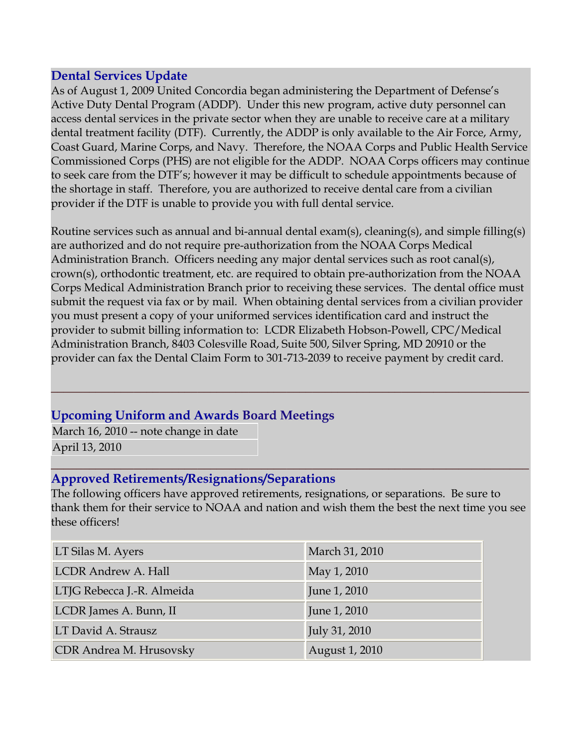#### **Dental Services Update**

As of August 1, 2009 United Concordia began administering the Department of Defense's Active Duty Dental Program (ADDP). Under this new program, active duty personnel can access dental services in the private sector when they are unable to receive care at a military dental treatment facility (DTF). Currently, the ADDP is only available to the Air Force, Army, Coast Guard, Marine Corps, and Navy. Therefore, the NOAA Corps and Public Health Service Commissioned Corps (PHS) are not eligible for the ADDP. NOAA Corps officers may continue to seek care from the DTF's; however it may be difficult to schedule appointments because of the shortage in staff. Therefore, you are authorized to receive dental care from a civilian provider if the DTF is unable to provide you with full dental service.

Routine services such as annual and bi-annual dental exam(s), cleaning(s), and simple filling(s) are authorized and do not require pre-authorization from the NOAA Corps Medical Administration Branch. Officers needing any major dental services such as root canal(s), crown(s), orthodontic treatment, etc. are required to obtain pre-authorization from the NOAA Corps Medical Administration Branch prior to receiving these services. The dental office must submit the request via fax or by mail. When obtaining dental services from a civilian provider you must present a copy of your uniformed services identification card and instruct the provider to submit billing information to: LCDR Elizabeth Hobson-Powell, CPC/Medical Administration Branch, 8403 Colesville Road, Suite 500, Silver Spring, MD 20910 or the provider can fax the Dental Claim Form to 301-713-2039 to receive payment by credit card.

**\_\_\_\_\_\_\_\_\_\_\_\_\_\_\_\_\_\_\_\_\_\_\_\_\_\_\_\_\_\_\_\_\_\_\_\_\_\_\_\_\_\_\_\_\_\_\_\_\_\_\_\_\_\_\_\_\_\_\_\_\_\_\_\_\_\_\_\_\_\_\_\_\_\_\_**

### **Upcoming Uniform and Awards Board Meetings**

March 16, 2010 -- note change in date April 13, 2010

#### **\_\_\_\_\_\_\_\_\_\_\_\_\_\_\_\_\_\_\_\_\_\_\_\_\_\_\_\_\_\_\_\_\_\_\_\_\_\_\_\_\_\_\_\_\_\_\_\_\_\_\_\_\_\_\_\_\_\_\_\_\_\_\_\_\_\_\_\_\_\_\_\_\_\_\_ Approved Retirements/Resignations/Separations**

The following officers have approved retirements, resignations, or separations. Be sure to thank them for their service to NOAA and nation and wish them the best the next time you see these officers!

| LT Silas M. Ayers          | March 31, 2010 |  |
|----------------------------|----------------|--|
| <b>LCDR Andrew A. Hall</b> | May 1, 2010    |  |
| LTJG Rebecca J.-R. Almeida | June 1, 2010   |  |
| LCDR James A. Bunn, II     | June 1, 2010   |  |
| LT David A. Strausz        | July 31, 2010  |  |
| CDR Andrea M. Hrusovsky    | August 1, 2010 |  |